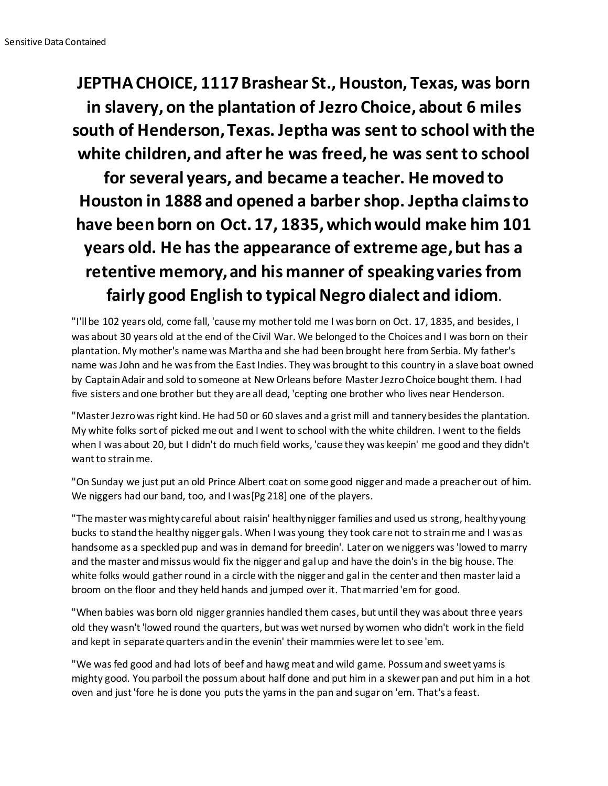**JEPTHA CHOICE, 1117 Brashear St., Houston, Texas, was born in slavery, on the plantation of Jezro Choice, about 6 miles south of Henderson, Texas. Jeptha was sent to school with the white children, and after he was freed, he was sent to school for several years, and became a teacher. He moved to Houston in 1888 and opened a barber shop. Jeptha claims to have been born on Oct. 17, 1835, which would make him 101 years old. He has the appearance of extreme age, but has a retentive memory, and his manner of speaking varies from fairly good English to typical Negro dialect and idiom.**

"I'll be 102 years old, come fall, 'cause my mother told me I was born on Oct. 17, 1835, and besides, I was about 30 years old at the end of the Civil War. We belonged to the Choices and I was born on their plantation. My mother's name was Martha and she had been brought here from Serbia. My father's name was John and he was from the East Indies. They was brought to this country in a slave boat owned by Captain Adair and sold to someone at New Orleans before Master Jezro Choice bought them. I had five sisters and one brother but they are all dead, 'cepting one brother who lives near Henderson.

"Master Jezro was right kind. He had 50 or 60 slaves and a grist mill and tannery besides the plantation. My white folks sort of picked me out and I went to school with the white children. I went to the fields when I was about 20, but I didn't do much field works, 'cause they was keepin' me good and they didn't want to strain me.

"On Sunday we just put an old Prince Albert coat on some good nigger and made a preacher out of him. We niggers had our band, too, and I was[Pg 218] one of the players.

"The master was mighty careful about raisin' healthy nigger families and used us strong, healthy young bucks to stand the healthy nigger gals. When I was young they took care not to strain me and I was as handsome as a speckled pup and was in demand for breedin'. Later on we niggers was 'lowed to marry and the master and missus would fix the nigger and gal up and have the doin's in the big house. The white folks would gather round in a circle with the nigger and gal in the center and then master laid a broom on the floor and they held hands and jumped over it. That married 'em for good.

"When babies was born old nigger grannies handled them cases, but until they was about three years old they wasn't 'lowed round the quarters, but was wet nursed by women who didn't work in the field and kept in separate quarters and in the evenin' their mammies were let to see 'em.

"We was fed good and had lots of beef and hawg meat and wild game. Possum and sweet yams is mighty good. You parboil the possum about half done and put him in a skewer pan and put him in a hot oven and just 'fore he is done you puts the yams in the pan and sugar on 'em. That's a feast.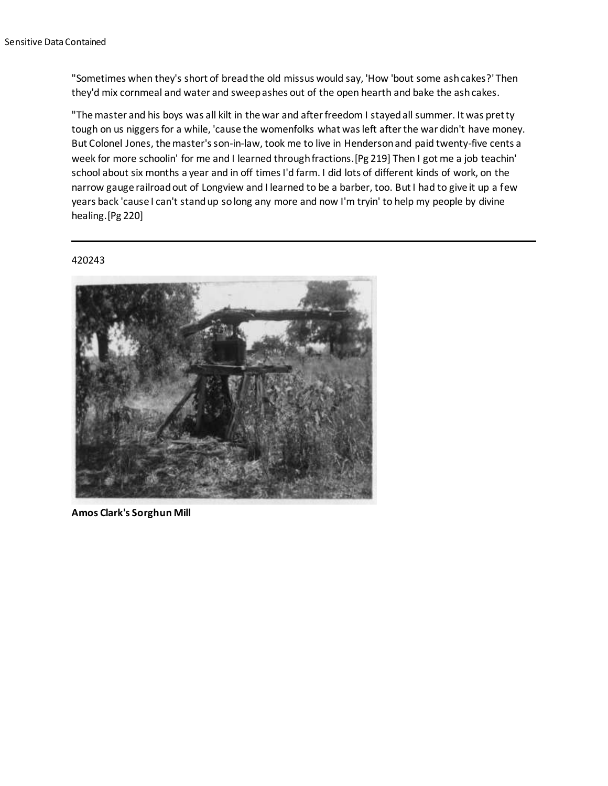"Sometimes when they's short of bread the old missus would say, 'How 'bout some ash cakes?' Then they'd mix cornmeal and water and sweep ashes out of the open hearth and bake the ash cakes.

"The master and his boys was all kilt in the war and after freedom I stayed all summer. It was pretty tough on us niggers for a while, 'cause the womenfolks what was left after the war didn't have money. But Colonel Jones, the master's son-in-law, took me to live in Henderson and paid twenty-five cents a week for more schoolin' for me and I learned through fractions.[Pg 219] Then I got me a job teachin' school about six months a year and in off times I'd farm. I did lots of different kinds of work, on the narrow gauge railroad out of Longview and I learned to be a barber, too. But I had to give it up a few years back 'cause I can't stand up so long any more and now I'm tryin' to help my people by divine healing.[Pg 220]

## 420243



**Amos Clark's Sorghun Mill**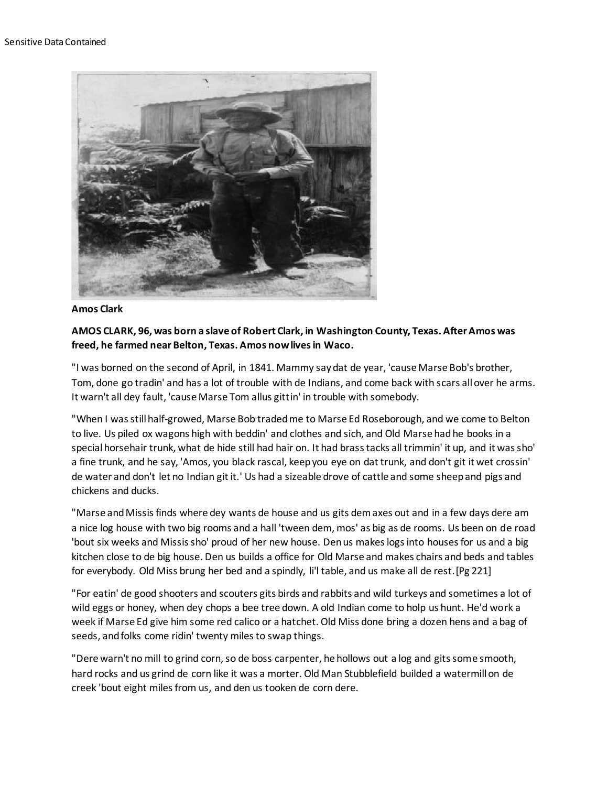

## **Amos Clark**

# **AMOS CLARK, 96, was born a slave of Robert Clark, in Washington County, Texas. After Amos was freed, he farmed near Belton, Texas. Amos now lives in Waco.**

"I was borned on the second of April, in 1841. Mammy say dat de year, 'cause Marse Bob's brother, Tom, done go tradin' and has a lot of trouble with de Indians, and come back with scars all over he arms. It warn't all dey fault, 'cause Marse Tom allus gittin' in trouble with somebody.

"When I was still half-growed, Marse Bob traded me to Marse Ed Roseborough, and we come to Belton to live. Us piled ox wagons high with beddin' and clothes and sich, and Old Marse had he books in a special horsehair trunk, what de hide still had hair on. It had brass tacks all trimmin' it up, and it was sho' a fine trunk, and he say, 'Amos, you black rascal, keep you eye on dat trunk, and don't git it wet crossin' de water and don't let no Indian git it.' Us had a sizeable drove of cattle and some sheep and pigs and chickens and ducks.

"Marse and Missis finds where dey wants de house and us gits dem axes out and in a few days dere am a nice log house with two big rooms and a hall 'tween dem, mos' as big as de rooms. Us been on de road 'bout six weeks and Missis sho' proud of her new house. Den us makes logs into houses for us and a big kitchen close to de big house. Den us builds a office for Old Marse and makes chairs and beds and tables for everybody. Old Miss brung her bed and a spindly, li'l table, and us make all de rest.[Pg 221]

"For eatin' de good shooters and scouters gits birds and rabbits and wild turkeys and sometimes a lot of wild eggs or honey, when dey chops a bee tree down. A old Indian come to holp us hunt. He'd work a week if Marse Ed give him some red calico or a hatchet. Old Miss done bring a dozen hens and a bag of seeds, and folks come ridin' twenty miles to swap things.

"Dere warn't no mill to grind corn, so de boss carpenter, he hollows out a log and gits some smooth, hard rocks and us grind de corn like it was a morter. Old Man Stubblefield builded a watermill on de creek 'bout eight miles from us, and den us tooken de corn dere.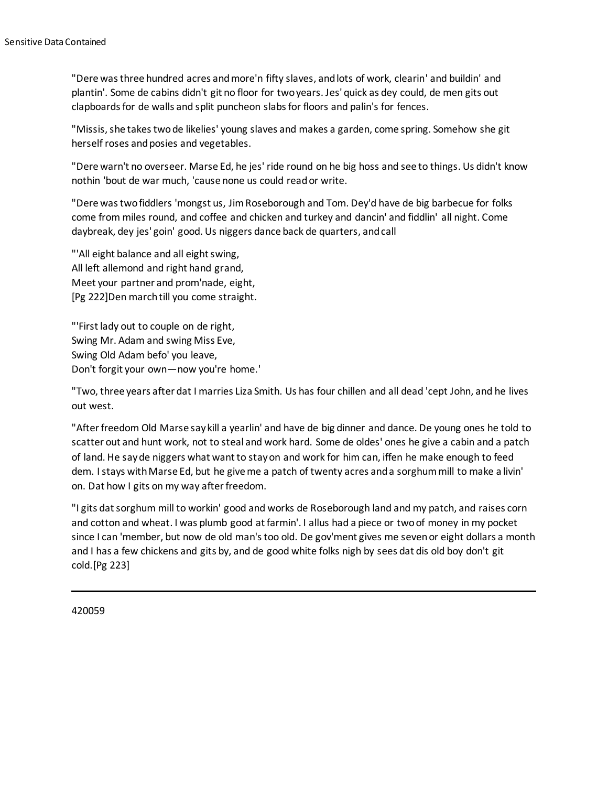"Dere was three hundred acres and more'n fifty slaves, and lots of work, clearin' and buildin' and plantin'. Some de cabins didn't git no floor for two years. Jes' quick as dey could, de men gits out clapboards for de walls and split puncheon slabs for floors and palin's for fences.

"Missis, she takes two de likelies' young slaves and makes a garden, come spring. Somehow she git herself roses and posies and vegetables.

"Dere warn't no overseer. Marse Ed, he jes' ride round on he big hoss and see to things. Us didn't know nothin 'bout de war much, 'cause none us could read or write.

"Dere was two fiddlers 'mongst us, Jim Roseborough and Tom. Dey'd have de big barbecue for folks come from miles round, and coffee and chicken and turkey and dancin' and fiddlin' all night. Come daybreak, dey jes' goin' good. Us niggers dance back de quarters, and call

"'All eight balance and all eight swing, All left allemond and right hand grand, Meet your partner and prom'nade, eight, [Pg 222]Den march till you come straight.

"'First lady out to couple on de right, Swing Mr. Adam and swing Miss Eve, Swing Old Adam befo' you leave, Don't forgit your own—now you're home.'

"Two, three years after dat I marries Liza Smith. Us has four chillen and all dead 'cept John, and he lives out west.

"After freedom Old Marse say kill a yearlin' and have de big dinner and dance. De young ones he told to scatter out and hunt work, not to steal and work hard. Some de oldes' ones he give a cabin and a patch of land. He say de niggers what want to stay on and work for him can, iffen he make enough to feed dem. I stays with Marse Ed, but he give me a patch of twenty acres and a sorghum mill to make a livin' on. Dat how I gits on my way after freedom.

"I gits dat sorghum mill to workin' good and works de Roseborough land and my patch, and raises corn and cotton and wheat. I was plumb good at farmin'. I allus had a piece or two of money in my pocket since I can 'member, but now de old man's too old. De gov'ment gives me seven or eight dollars a month and I has a few chickens and gits by, and de good white folks nigh by sees dat dis old boy don't git cold.[Pg 223]

420059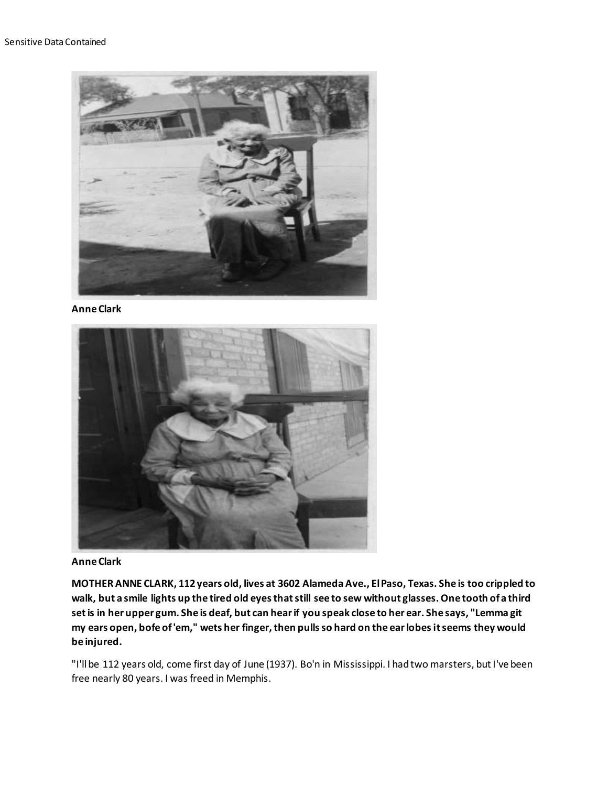

## **Anne Clark**



**Anne Clark**

**MOTHER ANNE CLARK, 112 years old, lives at 3602 Alameda Ave., El Paso, Texas. She is too crippled to walk, but a smile lights up the tired old eyes that still see to sew without glasses. One tooth of a third set is in her upper gum. She is deaf, but can hear if you speak close to her ear. She says, "Lemma git my ears open, bofe of 'em," wets her finger, then pulls so hard on the ear lobes it seems they would be injured.**

"I'll be 112 years old, come first day of June (1937). Bo'n in Mississippi. I had two marsters, but I've been free nearly 80 years. I was freed in Memphis.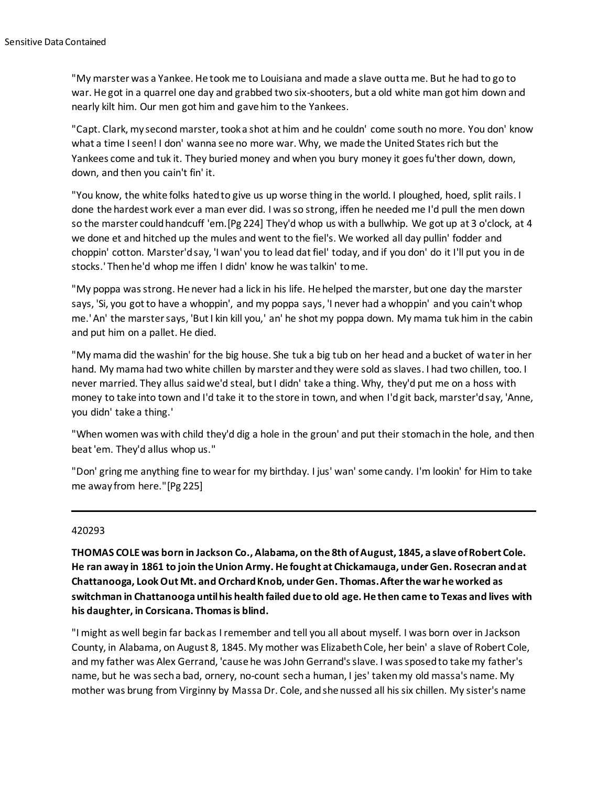"My marster was a Yankee. He took me to Louisiana and made a slave outta me. But he had to go to war. He got in a quarrel one day and grabbed two six-shooters, but a old white man got him down and nearly kilt him. Our men got him and gave him to the Yankees.

"Capt. Clark, my second marster, took a shot at him and he couldn' come south no more. You don' know what a time I seen! I don' wanna see no more war. Why, we made the United States rich but the Yankees come and tuk it. They buried money and when you bury money it goes fu'ther down, down, down, and then you cain't fin' it.

"You know, the white folks hated to give us up worse thing in the world. I ploughed, hoed, split rails. I done the hardest work ever a man ever did. I was so strong, iffen he needed me I'd pull the men down so the marster could handcuff 'em.[Pg 224] They'd whop us with a bullwhip. We got up at 3 o'clock, at 4 we done et and hitched up the mules and went to the fiel's. We worked all day pullin' fodder and choppin' cotton. Marster'd say, 'I wan' you to lead dat fiel' today, and if you don' do it I'll put you in de stocks.' Then he'd whop me iffen I didn' know he was talkin' to me.

"My poppa was strong. He never had a lick in his life. He helped the marster, but one day the marster says, 'Si, you got to have a whoppin', and my poppa says, 'I never had a whoppin' and you cain't whop me.' An' the marster says, 'But I kin kill you,' an' he shot my poppa down. My mama tuk him in the cabin and put him on a pallet. He died.

"My mama did the washin' for the big house. She tuk a big tub on her head and a bucket of water in her hand. My mama had two white chillen by marster and they were sold as slaves. I had two chillen, too. I never married. They allus said we'd steal, but I didn' take a thing. Why, they'd put me on a hoss with money to take into town and I'd take it to the store in town, and when I'd git back, marster'd say, 'Anne, you didn' take a thing.'

"When women was with child they'd dig a hole in the groun' and put their stomach in the hole, and then beat 'em. They'd allus whop us."

"Don' gring me anything fine to wear for my birthday. I jus' wan' some candy. I'm lookin' for Him to take me away from here."[Pg 225]

## 420293

**THOMAS COLE was born in Jackson Co., Alabama, on the 8th of August, 1845, a slave of Robert Cole. He ran away in 1861 to join the Union Army. He fought at Chickamauga, under Gen. Rosecran and at Chattanooga, Look Out Mt. and Orchard Knob, under Gen. Thomas. After the war he worked as switchman in Chattanooga until his health failed due to old age. He then came to Texas and lives with his daughter, in Corsicana. Thomas is blind.**

"I might as well begin far back as I remember and tell you all about myself. I was born over in Jackson County, in Alabama, on August 8, 1845. My mother was Elizabeth Cole, her bein' a slave of Robert Cole, and my father was Alex Gerrand, 'cause he was John Gerrand's slave. I was sposed to take my father's name, but he was sech a bad, ornery, no-count sech a human, I jes' taken my old massa's name. My mother was brung from Virginny by Massa Dr. Cole, and she nussed all his six chillen. My sister's name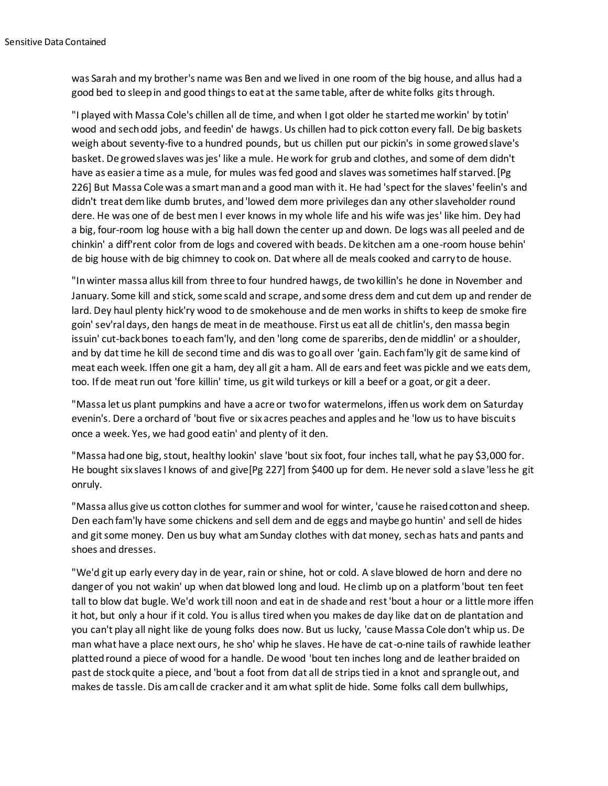was Sarah and my brother's name was Ben and we lived in one room of the big house, and allus had a good bed to sleep in and good things to eat at the same table, after de white folks gits through.

"I played with Massa Cole's chillen all de time, and when I got older he started me workin' by totin' wood and sech odd jobs, and feedin' de hawgs. Us chillen had to pick cotton every fall. De big baskets weigh about seventy-five to a hundred pounds, but us chillen put our pickin's in some growed slave's basket. De growed slaves was jes' like a mule. He work for grub and clothes, and some of dem didn't have as easier a time as a mule, for mules was fed good and slaves was sometimes half starved.[Pg 226] But Massa Cole was a smart man and a good man with it. He had 'spect for the slaves' feelin's and didn't treat dem like dumb brutes, and 'lowed dem more privileges dan any other slaveholder round dere. He was one of de best men I ever knows in my whole life and his wife was jes' like him. Dey had a big, four-room log house with a big hall down the center up and down. De logs was all peeled and de chinkin' a diff'rent color from de logs and covered with beads. De kitchen am a one-room house behin' de big house with de big chimney to cook on. Dat where all de meals cooked and carry to de house.

"In winter massa allus kill from three to four hundred hawgs, de two killin's he done in November and January. Some kill and stick, some scald and scrape, and some dress dem and cut dem up and render de lard. Dey haul plenty hick'ry wood to de smokehouse and de men works in shifts to keep de smoke fire goin' sev'ral days, den hangs de meat in de meathouse. First us eat all de chitlin's, den massa begin issuin' cut-back bones to each fam'ly, and den 'long come de spareribs, den de middlin' or a shoulder, and by dat time he kill de second time and dis was to go all over 'gain. Each fam'ly git de same kind of meat each week. Iffen one git a ham, dey all git a ham. All de ears and feet was pickle and we eats dem, too. If de meat run out 'fore killin' time, us git wild turkeys or kill a beef or a goat, or git a deer.

"Massa let us plant pumpkins and have a acre or two for watermelons, iffen us work dem on Saturday evenin's. Dere a orchard of 'bout five or six acres peaches and apples and he 'low us to have biscuits once a week. Yes, we had good eatin' and plenty of it den.

"Massa had one big, stout, healthy lookin' slave 'bout six foot, four inches tall, what he pay \$3,000 for. He bought six slaves I knows of and give[Pg 227] from \$400 up for dem. He never sold a slave 'less he git onruly.

"Massa allus give us cotton clothes for summer and wool for winter, 'cause he raised cotton and sheep. Den each fam'ly have some chickens and sell dem and de eggs and maybe go huntin' and sell de hides and git some money. Den us buy what am Sunday clothes with dat money, sech as hats and pants and shoes and dresses.

"We'd git up early every day in de year, rain or shine, hot or cold. A slave blowed de horn and dere no danger of you not wakin' up when dat blowed long and loud. He climb up on a platform 'bout ten feet tall to blow dat bugle. We'd work till noon and eat in de shade and rest 'bout a hour or a little more iffen it hot, but only a hour if it cold. You is allus tired when you makes de day like dat on de plantation and you can't play all night like de young folks does now. But us lucky, 'cause Massa Cole don't whip us. De man what have a place next ours, he sho' whip he slaves. He have de cat-o-nine tails of rawhide leather platted round a piece of wood for a handle. De wood 'bout ten inches long and de leather braided on past de stock quite a piece, and 'bout a foot from dat all de strips tied in a knot and sprangle out, and makes de tassle. Dis am call de cracker and it am what split de hide. Some folks call dem bullwhips,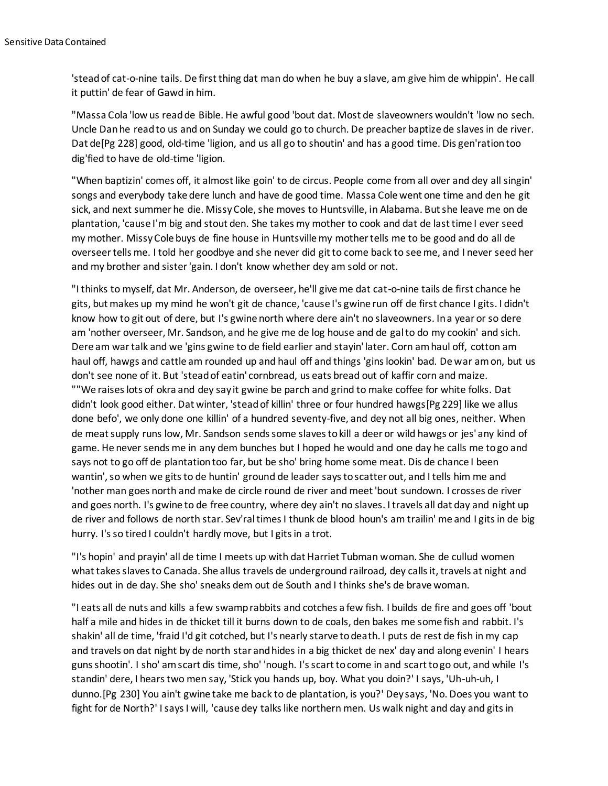'stead of cat-o-nine tails. De first thing dat man do when he buy a slave, am give him de whippin'. He call it puttin' de fear of Gawd in him.

"Massa Cola 'low us read de Bible. He awful good 'bout dat. Most de slaveowners wouldn't 'low no sech. Uncle Dan he read to us and on Sunday we could go to church. De preacher baptize de slaves in de river. Dat de[Pg 228] good, old-time 'ligion, and us all go to shoutin' and has a good time. Dis gen'ration too dig'fied to have de old-time 'ligion.

"When baptizin' comes off, it almost like goin' to de circus. People come from all over and dey all singin' songs and everybody take dere lunch and have de good time. Massa Cole went one time and den he git sick, and next summer he die. Missy Cole, she moves to Huntsville, in Alabama. But she leave me on de plantation, 'cause I'm big and stout den. She takes my mother to cook and dat de last time I ever seed my mother. Missy Cole buys de fine house in Huntsville my mother tells me to be good and do all de overseer tells me. I told her goodbye and she never did git to come back to see me, and I never seed her and my brother and sister 'gain. I don't know whether dey am sold or not.

"I thinks to myself, dat Mr. Anderson, de overseer, he'll give me dat cat-o-nine tails de first chance he gits, but makes up my mind he won't git de chance, 'cause I's gwine run off de first chance I gits. I didn't know how to git out of dere, but I's gwine north where dere ain't no slaveowners. In a year or so dere am 'nother overseer, Mr. Sandson, and he give me de log house and de gal to do my cookin' and sich. Dere am war talk and we 'gins gwine to de field earlier and stayin' later. Corn am haul off, cotton am haul off, hawgs and cattle am rounded up and haul off and things 'gins lookin' bad. De war am on, but us don't see none of it. But 'stead of eatin' cornbread, us eats bread out of kaffir corn and maize. ""We raises lots of okra and dey say it gwine be parch and grind to make coffee for white folks. Dat didn't look good either. Dat winter, 'stead of killin' three or four hundred hawgs[Pg 229] like we allus done befo', we only done one killin' of a hundred seventy-five, and dey not all big ones, neither. When de meat supply runs low, Mr. Sandson sends some slaves to kill a deer or wild hawgs or jes' any kind of game. He never sends me in any dem bunches but I hoped he would and one day he calls me to go and says not to go off de plantation too far, but be sho' bring home some meat. Dis de chance I been wantin', so when we gits to de huntin' ground de leader says to scatter out, and I tells him me and 'nother man goes north and make de circle round de river and meet 'bout sundown. I crosses de river and goes north. I's gwine to de free country, where dey ain't no slaves. I travels all dat day and night up de river and follows de north star. Sev'ral times I thunk de blood houn's am trailin' me and I gits in de big hurry. I's so tired I couldn't hardly move, but I gits in a trot.

"I's hopin' and prayin' all de time I meets up with dat Harriet Tubman woman. She de cullud women what takes slaves to Canada. She allus travels de underground railroad, dey calls it, travels at night and hides out in de day. She sho' sneaks dem out de South and I thinks she's de brave woman.

"I eats all de nuts and kills a few swamp rabbits and cotches a few fish. I builds de fire and goes off 'bout half a mile and hides in de thicket till it burns down to de coals, den bakes me some fish and rabbit. I's shakin' all de time, 'fraid I'd git cotched, but I's nearly starve to death. I puts de rest de fish in my cap and travels on dat night by de north star and hides in a big thicket de nex' day and along evenin' I hears guns shootin'. I sho' am scart dis time, sho' 'nough. I's scart to come in and scart to go out, and while I's standin' dere, I hears two men say, 'Stick you hands up, boy. What you doin?' I says, 'Uh-uh-uh, I dunno.[Pg 230] You ain't gwine take me back to de plantation, is you?' Dey says, 'No. Does you want to fight for de North?' I says I will, 'cause dey talks like northern men. Us walk night and day and gits in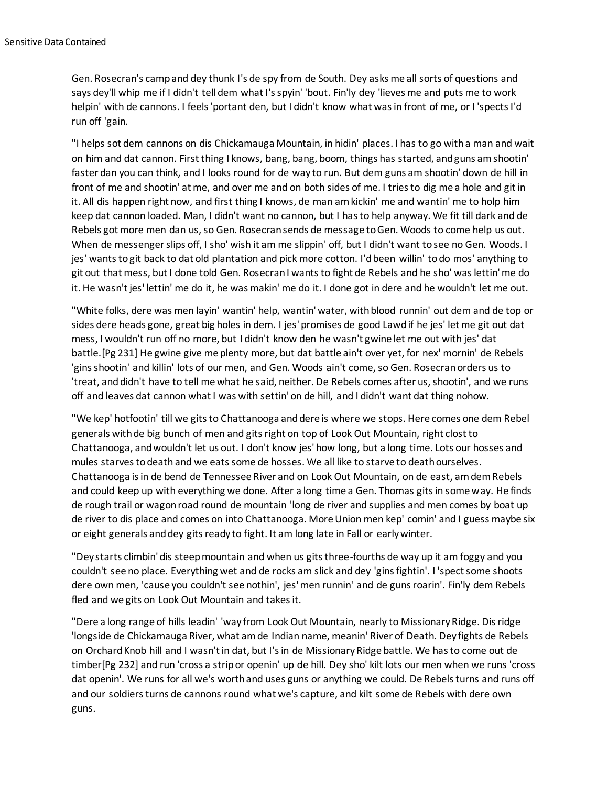Gen. Rosecran's camp and dey thunk I's de spy from de South. Dey asks me all sorts of questions and says dey'll whip me if I didn't tell dem what I's spyin' 'bout. Fin'ly dey 'lieves me and puts me to work helpin' with de cannons. I feels 'portant den, but I didn't know what was in front of me, or I 'spects I'd run off 'gain.

"I helps sot dem cannons on dis Chickamauga Mountain, in hidin' places. I has to go with a man and wait on him and dat cannon. First thing I knows, bang, bang, boom, things has started, and guns am shootin' faster dan you can think, and I looks round for de way to run. But dem guns am shootin' down de hill in front of me and shootin' at me, and over me and on both sides of me. I tries to dig me a hole and git in it. All dis happen right now, and first thing I knows, de man am kickin' me and wantin' me to holp him keep dat cannon loaded. Man, I didn't want no cannon, but I has to help anyway. We fit till dark and de Rebels got more men dan us, so Gen. Rosecran sends de message to Gen. Woods to come help us out. When de messenger slips off, I sho' wish it am me slippin' off, but I didn't want to see no Gen. Woods. I jes' wants to git back to dat old plantation and pick more cotton. I'd been willin' to do mos' anything to git out that mess, but I done told Gen. Rosecran I wants to fight de Rebels and he sho' was lettin' me do it. He wasn't jes' lettin' me do it, he was makin' me do it. I done got in dere and he wouldn't let me out.

"White folks, dere was men layin' wantin' help, wantin' water, with blood runnin' out dem and de top or sides dere heads gone, great big holes in dem. I jes' promises de good Lawd if he jes' let me git out dat mess, I wouldn't run off no more, but I didn't know den he wasn't gwine let me out with jes' dat battle.[Pg 231] He gwine give me plenty more, but dat battle ain't over yet, for nex' mornin' de Rebels 'gins shootin' and killin' lots of our men, and Gen. Woods ain't come, so Gen. Rosecran orders us to 'treat, and didn't have to tell me what he said, neither. De Rebels comes after us, shootin', and we runs off and leaves dat cannon what I was with settin' on de hill, and I didn't want dat thing nohow.

"We kep' hotfootin' till we gits to Chattanooga and dere is where we stops. Here comes one dem Rebel generals with de big bunch of men and gits right on top of Look Out Mountain, right clost to Chattanooga, and wouldn't let us out. I don't know jes' how long, but a long time. Lots our hosses and mules starves to death and we eats some de hosses. We all like to starve to death ourselves. Chattanooga is in de bend de Tennessee River and on Look Out Mountain, on de east, am dem Rebels and could keep up with everything we done. After a long time a Gen. Thomas gits in some way. He finds de rough trail or wagon road round de mountain 'long de river and supplies and men comes by boat up de river to dis place and comes on into Chattanooga. More Union men kep' comin' and I guess maybe six or eight generals and dey gits ready to fight. It am long late in Fall or early winter.

"Dey starts climbin' dis steep mountain and when us gits three-fourths de way up it am foggy and you couldn't see no place. Everything wet and de rocks am slick and dey 'gins fightin'. I 'spect some shoots dere own men, 'cause you couldn't see nothin', jes' men runnin' and de guns roarin'. Fin'ly dem Rebels fled and we gits on Look Out Mountain and takes it.

"Dere a long range of hills leadin' 'way from Look Out Mountain, nearly to Missionary Ridge. Dis ridge 'longside de Chickamauga River, what am de Indian name, meanin' River of Death. Dey fights de Rebels on Orchard Knob hill and I wasn't in dat, but I's in de Missionary Ridge battle. We has to come out de timber[Pg 232] and run 'cross a strip or openin' up de hill. Dey sho' kilt lots our men when we runs 'cross dat openin'. We runs for all we's worth and uses guns or anything we could. De Rebels turns and runs off and our soldiers turns de cannons round what we's capture, and kilt some de Rebels with dere own guns.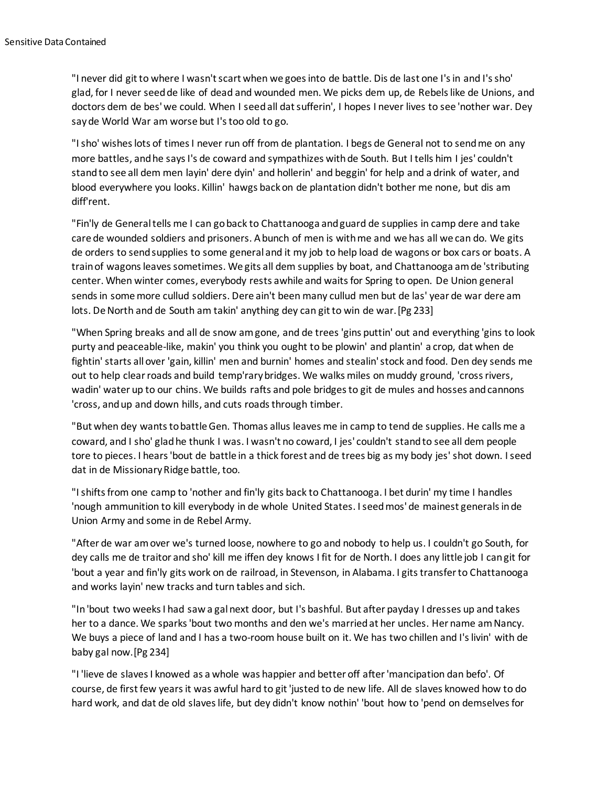"I never did git to where I wasn't scart when we goes into de battle. Dis de last one I's in and I's sho' glad, for I never seed de like of dead and wounded men. We picks dem up, de Rebels like de Unions, and doctors dem de bes' we could. When I seed all dat sufferin', I hopes I never lives to see 'nother war. Dey say de World War am worse but I's too old to go.

"I sho' wishes lots of times I never run off from de plantation. I begs de General not to send me on any more battles, and he says I's de coward and sympathizes with de South. But I tells him I jes' couldn't stand to see all dem men layin' dere dyin' and hollerin' and beggin' for help and a drink of water, and blood everywhere you looks. Killin' hawgs back on de plantation didn't bother me none, but dis am diff'rent.

"Fin'ly de General tells me I can go back to Chattanooga and guard de supplies in camp dere and take care de wounded soldiers and prisoners. A bunch of men is with me and we has all we can do. We gits de orders to send supplies to some general and it my job to help load de wagons or box cars or boats. A train of wagons leaves sometimes. We gits all dem supplies by boat, and Chattanooga am de 'stributing center. When winter comes, everybody rests awhile and waits for Spring to open. De Union general sends in some more cullud soldiers. Dere ain't been many cullud men but de las' year de war dere am lots. De North and de South am takin' anything dey can git to win de war.[Pg 233]

"When Spring breaks and all de snow am gone, and de trees 'gins puttin' out and everything 'gins to look purty and peaceable-like, makin' you think you ought to be plowin' and plantin' a crop, dat when de fightin' starts all over 'gain, killin' men and burnin' homes and stealin' stock and food. Den dey sends me out to help clear roads and build temp'rary bridges. We walks miles on muddy ground, 'cross rivers, wadin' water up to our chins. We builds rafts and pole bridges to git de mules and hosses and cannons 'cross, and up and down hills, and cuts roads through timber.

"But when dey wants to battle Gen. Thomas allus leaves me in camp to tend de supplies. He calls me a coward, and I sho' glad he thunk I was. I wasn't no coward, I jes' couldn't stand to see all dem people tore to pieces. I hears 'bout de battle in a thick forest and de trees big as my body jes' shot down. I seed dat in de Missionary Ridge battle, too.

"I shifts from one camp to 'nother and fin'ly gits back to Chattanooga. I bet durin' my time I handles 'nough ammunition to kill everybody in de whole United States. I seed mos' de mainest generals in de Union Army and some in de Rebel Army.

"After de war am over we's turned loose, nowhere to go and nobody to help us. I couldn't go South, for dey calls me de traitor and sho' kill me iffen dey knows I fit for de North. I does any little job I can git for 'bout a year and fin'ly gits work on de railroad, in Stevenson, in Alabama. I gits transfer to Chattanooga and works layin' new tracks and turn tables and sich.

"In 'bout two weeks I had saw a gal next door, but I's bashful. But after payday I dresses up and takes her to a dance. We sparks 'bout two months and den we's married at her uncles. Her name am Nancy. We buys a piece of land and I has a two-room house built on it. We has two chillen and I's livin' with de baby gal now.[Pg 234]

"I 'lieve de slaves I knowed as a whole was happier and better off after 'mancipation dan befo'. Of course, de first few years it was awful hard to git 'justed to de new life. All de slaves knowed how to do hard work, and dat de old slaves life, but dey didn't know nothin' 'bout how to 'pend on demselves for